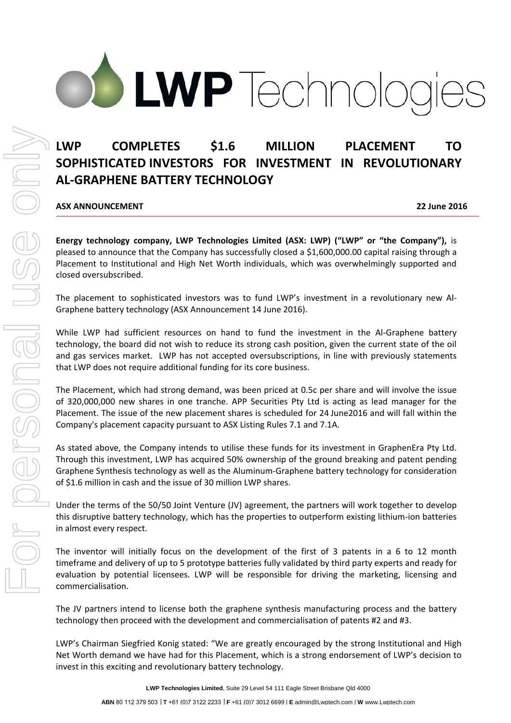# LWP Technold

# **LWP COMPLETES \$1.6 MILLION PLACEMENT TO SOPHISTICATED INVESTORS FOR INVESTMENT IN REVOLUTIONARY AL-GRAPHENE BATTERY TECHNOLOGY**

**ASX ANNOUNCEMENT 22 June 2016**

**Energy technology company, LWP Technologies Limited (ASX: LWP) ("LWP" or "the Company"),** is pleased to announce that the Company has successfully closed a \$1,600,000.00 capital raising through a Placement to Institutional and High Net Worth individuals, which was overwhelmingly supported and closed oversubscribed.

The placement to sophisticated investors was to fund LWP's investment in a revolutionary new Al-Graphene battery technology (ASX Announcement 14 June 2016).

While LWP had sufficient resources on hand to fund the investment in the Al-Graphene battery technology, the board did not wish to reduce its strong cash position, given the current state of the oil and gas services market. LWP has not accepted oversubscriptions, in line with previously statements that LWP does not require additional funding for its core business.

The Placement, which had strong demand, was been priced at 0.5c per share and will involve the issue of 320,000,000 new shares in one tranche. APP Securities Pty Ltd is acting as lead manager for the Placement. The issue of the new placement shares is scheduled for 24 June2016 and will fall within the Company's placement capacity pursuant to ASX Listing Rules 7.1 and 7.1A.

As stated above, the Company intends to utilise these funds for its investment in GraphenEra Pty Ltd. Through this investment, LWP has acquired 50% ownership of the ground breaking and patent pending Graphene Synthesis technology as well as the Aluminum-Graphene battery technology for consideration of \$1.6 million in cash and the issue of 30 million LWP shares.

Under the terms of the 50/50 Joint Venture (JV) agreement, the partners will work together to develop this disruptive battery technology, which has the properties to outperform existing lithium-ion batteries in almost every respect.

The inventor will initially focus on the development of the first of 3 patents in a 6 to 12 month timeframe and delivery of up to 5 prototype batteries fully validated by third party experts and ready for evaluation by potential licensees. LWP will be responsible for driving the marketing, licensing and commercialisation.

The JV partners intend to license both the graphene synthesis manufacturing process and the battery technology then proceed with the development and commercialisation of patents #2 and #3.

LWP's Chairman Siegfried Konig stated: "We are greatly encouraged by the strong Institutional and High Net Worth demand we have had for this Placement, which is a strong endorsement of LWP's decision to invest in this exciting and revolutionary battery technology.